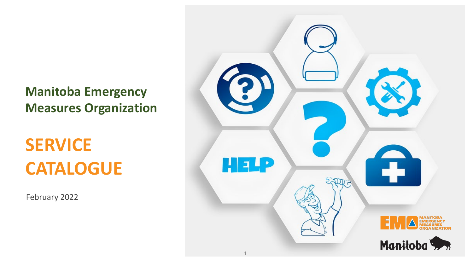**Manitoba Emergency Measures Organization**

## **SERVICE CATALOGUE**

February 2022

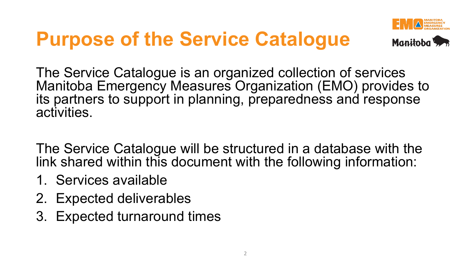# **Purpose of the Service Catalogue**



The Service Catalogue is an organized collection of services Manitoba Emergency Measures Organization (EMO) provides to its partners to support in planning, preparedness and response activities.

The Service Catalogue will be structured in a database with the link shared within this document with the following information:

- 1. Services available
- 2. Expected deliverables
- 3. Expected turnaround times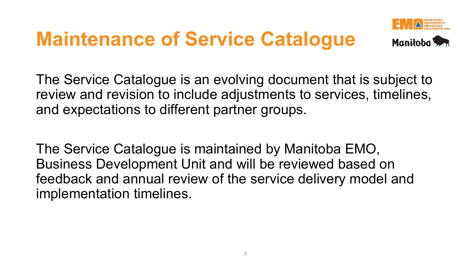## **Maintenance of Service Catalogue**



The Service Catalogue is an evolving document that is subject to review and revision to include adjustments to services, timelines, and expectations to different partner groups.

The Service Catalogue is maintained by Manitoba EMO, Business Development Unit and will be reviewed based on feedback and annual review of the service delivery model and implementation timelines.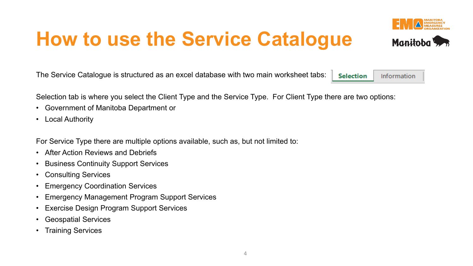## **How to use the Service Catalogue**

The Service Catalogue is structured as an excel database with two main worksheet tabs: **Selection** Information

Selection tab is where you select the Client Type and the Service Type. For Client Type there are two options:

- Government of Manitoba Department or
- Local Authority

For Service Type there are multiple options available, such as, but not limited to:

- After Action Reviews and Debriefs
- Business Continuity Support Services
- Consulting Services
- Emergency Coordination Services
- Emergency Management Program Support Services
- Exercise Design Program Support Services
- Geospatial Services
- Training Services



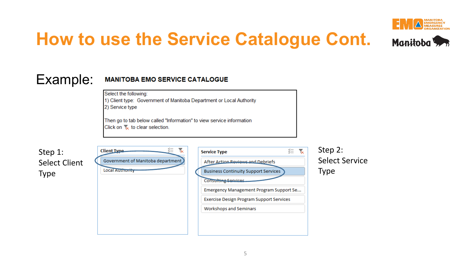

### **How to use the Service Catalogue Cont.**



#### **MANITOBA EMO SERVICE CATALOGUE**

Select the following:

1) Client type: Government of Manitoba Department or Local Authority 2) Service type

Then go to tab below called "Information" to view service information Click on  $\sqrt{\ }$  to clear selection.

| Step 1:              |
|----------------------|
| <b>Select Client</b> |
| <b>Type</b>          |

Example:

| <b>Client Type</b>                | <b>Service Type</b>                             |
|-----------------------------------|-------------------------------------------------|
| Government of Manitoba department | After Action Reviews and Debriefs               |
| Local Authority                   | <b>Business Continuity Support Services</b>     |
|                                   | <b>Consulting Services</b>                      |
|                                   | Emergency Management Program Support Se         |
|                                   | <b>Exercise Design Program Support Services</b> |
|                                   | Workshops and Seminars                          |
|                                   |                                                 |
|                                   |                                                 |

Step 2: Select Service Type

迮  $\mathbf{R}$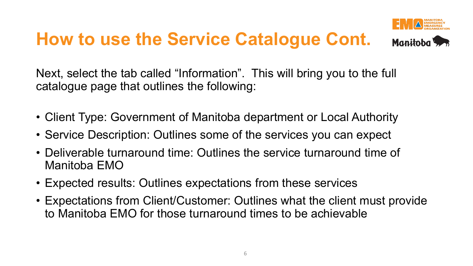## **How to use the Service Catalogue Cont.**



Next, select the tab called "Information". This will bring you to the full catalogue page that outlines the following:

- Client Type: Government of Manitoba department or Local Authority
- Service Description: Outlines some of the services you can expect
- Deliverable turnaround time: Outlines the service turnaround time of Manitoba EMO
- Expected results: Outlines expectations from these services
- Expectations from Client/Customer: Outlines what the client must provide to Manitoba EMO for those turnaround times to be achievable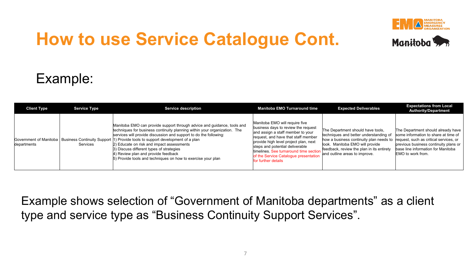

## **How to use Service Catalogue Cont.**



#### Example:

| <b>Client Type</b> | <b>Service Type</b> | <b>Service description</b>                                                                                                                                                                                                                                                                                                                                                                                                                                                                                                           | <b>Manitoba EMO Turnaround time</b>                                                                                                                                                                                                                                                                                                     | <b>Expected Deliverables</b>                                                                                                                                                                                                                                                   | <b>Expectations from Local</b><br><b>Authority/Department</b>                                                                                                                  |
|--------------------|---------------------|--------------------------------------------------------------------------------------------------------------------------------------------------------------------------------------------------------------------------------------------------------------------------------------------------------------------------------------------------------------------------------------------------------------------------------------------------------------------------------------------------------------------------------------|-----------------------------------------------------------------------------------------------------------------------------------------------------------------------------------------------------------------------------------------------------------------------------------------------------------------------------------------|--------------------------------------------------------------------------------------------------------------------------------------------------------------------------------------------------------------------------------------------------------------------------------|--------------------------------------------------------------------------------------------------------------------------------------------------------------------------------|
| departments        | Services            | Manitoba EMO can provide support through advice and guidance, tools and<br>techniques for business continuity planning within your organization. The<br>services will provide discussion and support to do the following:<br>Government of Manitoba   Business Continuity Support  1) Provide tools to support development of a plan<br>2) Educate on risk and impact assessments<br>3) Discuss different types of strategies<br>4) Review plan and provide feedback<br>5) Provide tools and techniques on how to exercise your plan | Manitoba EMO will require five<br>business days to review the request<br>and assign a staff member to your<br>request, and have that staff member<br>provide high level project plan, next<br>steps and potential deliverable<br>timelines. See turnaround time section<br>of the Service Catalogue presentation<br>for further details | The Department should have tools,<br>techniques and better understanding of<br>how a business continuity plan needs to request, such as critical services, or<br>look. Manitoba EMO will provide<br>feedback, review the plan in its entirety<br>and outline areas to improve. | The Department should already have<br>some information to share at time of<br>previous business continuity plans or<br>base line information for Manitoba<br>EMO to work from. |

Example shows selection of "Government of Manitoba departments" as a client type and service type as "Business Continuity Support Services".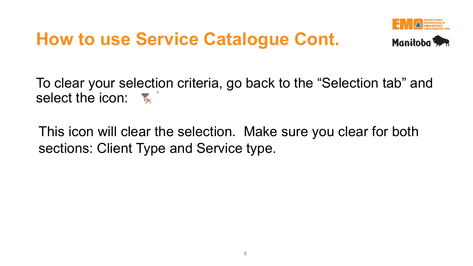#### **How to use Service Catalogue Cont.**



To clear your selection criteria, go back to the "Selection tab" and select the icon:

This icon will clear the selection. Make sure you clear for both sections: Client Type and Service type.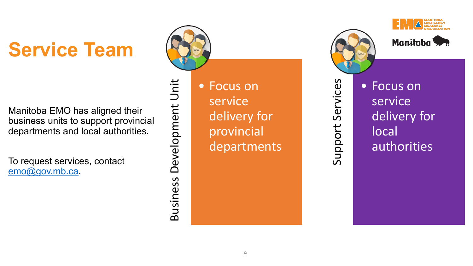# **Service Team**

Manitoba EMO has aligned their business units to support provincial departments and local authorities.

To request services, contact [emo@gov.mb.ca](mailto:emo@gov.mb.ca).



Business Development Unit

Business

Development

Unit

• Focus on service delivery for provincial departments



Support Services

Support

Services





• Focus on service delivery for local authorities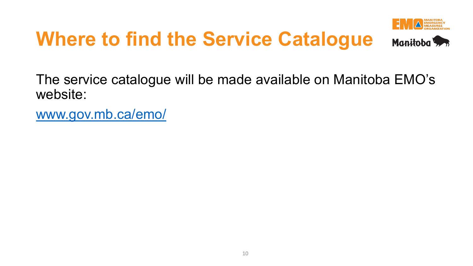# **Where to find the Service Catalogue**





The service catalogue will be made available on Manitoba EMO's website:

[www.gov.mb.ca/emo/](https://www.gov.mb.ca/emo/)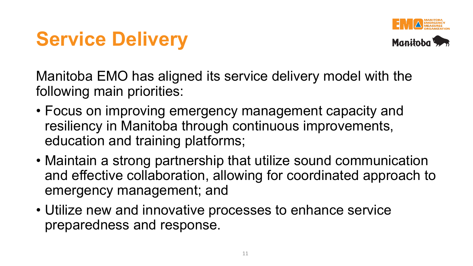



Manitoba EMO has aligned its service delivery model with the following main priorities:

- Focus on improving emergency management capacity and resiliency in Manitoba through continuous improvements, education and training platforms;
- Maintain a strong partnership that utilize sound communication and effective collaboration, allowing for coordinated approach to emergency management; and
- Utilize new and innovative processes to enhance service preparedness and response.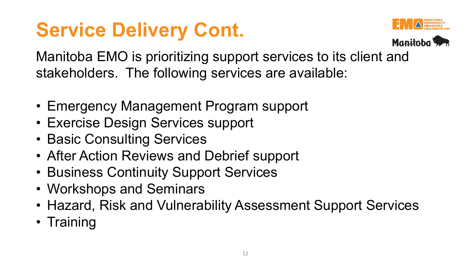## **Service Delivery Cont.**





Manitoba EMO is prioritizing support services to its client and stakeholders. The following services are available:

- Emergency Management Program support
- Exercise Design Services support
- Basic Consulting Services
- After Action Reviews and Debrief support
- Business Continuity Support Services
- Workshops and Seminars
- Hazard, Risk and Vulnerability Assessment Support Services
- Training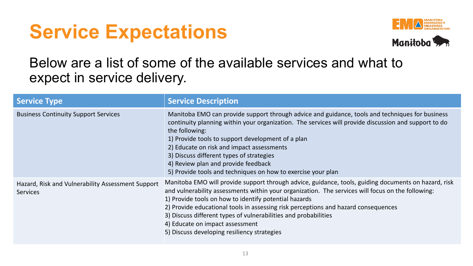## **Service Expectations**



#### Below are a list of some of the available services and what to expect in service delivery.

| <b>Service Type</b>                                                  | <b>Service Description</b>                                                                                                                                                                                                                                                                                                                                                                                                                                                                                    |
|----------------------------------------------------------------------|---------------------------------------------------------------------------------------------------------------------------------------------------------------------------------------------------------------------------------------------------------------------------------------------------------------------------------------------------------------------------------------------------------------------------------------------------------------------------------------------------------------|
| <b>Business Continuity Support Services</b>                          | Manitoba EMO can provide support through advice and guidance, tools and techniques for business<br>continuity planning within your organization. The services will provide discussion and support to do<br>the following:<br>1) Provide tools to support development of a plan<br>2) Educate on risk and impact assessments<br>3) Discuss different types of strategies<br>4) Review plan and provide feedback<br>5) Provide tools and techniques on how to exercise your plan                                |
| Hazard, Risk and Vulnerability Assessment Support<br><b>Services</b> | Manitoba EMO will provide support through advice, guidance, tools, guiding documents on hazard, risk<br>and vulnerability assessments within your organization. The services will focus on the following:<br>1) Provide tools on how to identify potential hazards<br>2) Provide educational tools in assessing risk perceptions and hazard consequences<br>3) Discuss different types of vulnerabilities and probabilities<br>4) Educate on impact assessment<br>5) Discuss developing resiliency strategies |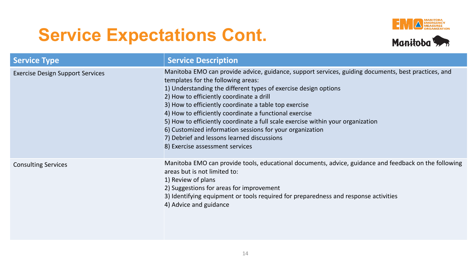## **Service Expectations Cont.**





| <b>Service Type</b>                     | <b>Service Description</b>                                                                                                                                                                                                                                                                                                                                                                                                                                                                                                                                                                                  |
|-----------------------------------------|-------------------------------------------------------------------------------------------------------------------------------------------------------------------------------------------------------------------------------------------------------------------------------------------------------------------------------------------------------------------------------------------------------------------------------------------------------------------------------------------------------------------------------------------------------------------------------------------------------------|
| <b>Exercise Design Support Services</b> | Manitoba EMO can provide advice, guidance, support services, guiding documents, best practices, and<br>templates for the following areas:<br>1) Understanding the different types of exercise design options<br>2) How to efficiently coordinate a drill<br>3) How to efficiently coordinate a table top exercise<br>4) How to efficiently coordinate a functional exercise<br>5) How to efficiently coordinate a full scale exercise within your organization<br>6) Customized information sessions for your organization<br>7) Debrief and lessons learned discussions<br>8) Exercise assessment services |
| <b>Consulting Services</b>              | Manitoba EMO can provide tools, educational documents, advice, guidance and feedback on the following<br>areas but is not limited to:<br>1) Review of plans<br>2) Suggestions for areas for improvement<br>3) Identifying equipment or tools required for preparedness and response activities<br>4) Advice and guidance                                                                                                                                                                                                                                                                                    |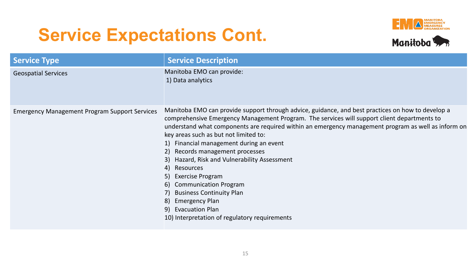#### **Service Expectations Cont.**





| <b>Service Type</b>                                  | <b>Service Description</b>                                                                                                                                                                                                                                                                                                                                                                                                                                                                                                                                                                                                                                                                                   |
|------------------------------------------------------|--------------------------------------------------------------------------------------------------------------------------------------------------------------------------------------------------------------------------------------------------------------------------------------------------------------------------------------------------------------------------------------------------------------------------------------------------------------------------------------------------------------------------------------------------------------------------------------------------------------------------------------------------------------------------------------------------------------|
| <b>Geospatial Services</b>                           | Manitoba EMO can provide:<br>1) Data analytics                                                                                                                                                                                                                                                                                                                                                                                                                                                                                                                                                                                                                                                               |
| <b>Emergency Management Program Support Services</b> | Manitoba EMO can provide support through advice, guidance, and best practices on how to develop a<br>comprehensive Emergency Management Program. The services will support client departments to<br>understand what components are required within an emergency management program as well as inform on<br>key areas such as but not limited to:<br>1) Financial management during an event<br>2) Records management processes<br>3) Hazard, Risk and Vulnerability Assessment<br>4) Resources<br>5) Exercise Program<br><b>Communication Program</b><br><sup>6)</sup><br><b>Business Continuity Plan</b><br>7).<br>8) Emergency Plan<br>9) Evacuation Plan<br>10) Interpretation of regulatory requirements |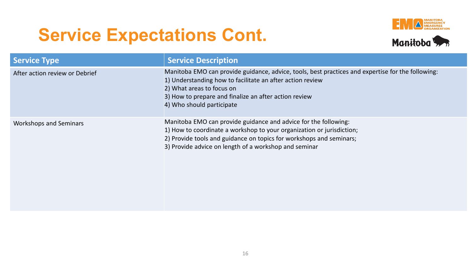## **Service Expectations Cont.**





| <b>Service Type</b>            | <b>Service Description</b>                                                                                                                                                                                                                                                        |
|--------------------------------|-----------------------------------------------------------------------------------------------------------------------------------------------------------------------------------------------------------------------------------------------------------------------------------|
| After action review or Debrief | Manitoba EMO can provide guidance, advice, tools, best practices and expertise for the following:<br>1) Understanding how to facilitate an after action review<br>2) What areas to focus on<br>3) How to prepare and finalize an after action review<br>4) Who should participate |
| <b>Workshops and Seminars</b>  | Manitoba EMO can provide guidance and advice for the following:<br>1) How to coordinate a workshop to your organization or jurisdiction;<br>2) Provide tools and guidance on topics for workshops and seminars;<br>3) Provide advice on length of a workshop and seminar          |